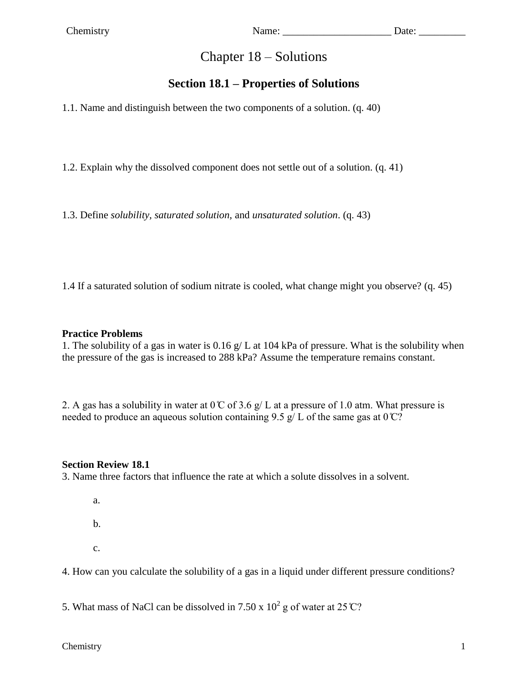# Chapter 18 – Solutions

## **Section 18.1 – Properties of Solutions**

1.1. Name and distinguish between the two components of a solution. (q. 40)

1.2. Explain why the dissolved component does not settle out of a solution. (q. 41)

1.3. Define *solubility, saturated solution,* and *unsaturated solution*. (q. 43)

1.4 If a saturated solution of sodium nitrate is cooled, what change might you observe? (q. 45)

#### **Practice Problems**

1. The solubility of a gas in water is 0.16 g/ L at 104 kPa of pressure. What is the solubility when the pressure of the gas is increased to 288 kPa? Assume the temperature remains constant.

2. A gas has a solubility in water at  $0^\circ$  of 3.6 g/ L at a pressure of 1.0 atm. What pressure is needed to produce an aqueous solution containing 9.5 g/ L of the same gas at  $0^{\circ}C$ ?

#### **Section Review 18.1**

3. Name three factors that influence the rate at which a solute dissolves in a solvent.

- a.
- b.
- c.

4. How can you calculate the solubility of a gas in a liquid under different pressure conditions?

5. What mass of NaCl can be dissolved in 7.50 x  $10^2$  g of water at 25 °C?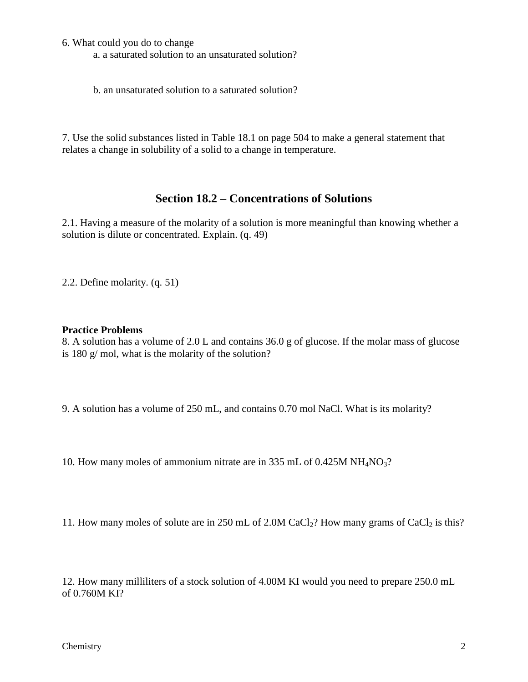6. What could you do to change

a. a saturated solution to an unsaturated solution?

b. an unsaturated solution to a saturated solution?

7. Use the solid substances listed in Table 18.1 on page 504 to make a general statement that relates a change in solubility of a solid to a change in temperature.

### **Section 18.2 – Concentrations of Solutions**

2.1. Having a measure of the molarity of a solution is more meaningful than knowing whether a solution is dilute or concentrated. Explain. (q. 49)

2.2. Define molarity. (q. 51)

#### **Practice Problems**

8. A solution has a volume of 2.0 L and contains 36.0 g of glucose. If the molar mass of glucose is 180 g/ mol, what is the molarity of the solution?

9. A solution has a volume of 250 mL, and contains 0.70 mol NaCl. What is its molarity?

10. How many moles of ammonium nitrate are in 335 mL of 0.425M NH<sub>4</sub>NO<sub>3</sub>?

11. How many moles of solute are in 250 mL of 2.0M CaCl<sub>2</sub>? How many grams of CaCl<sub>2</sub> is this?

12. How many milliliters of a stock solution of 4.00M KI would you need to prepare 250.0 mL of 0.760M KI?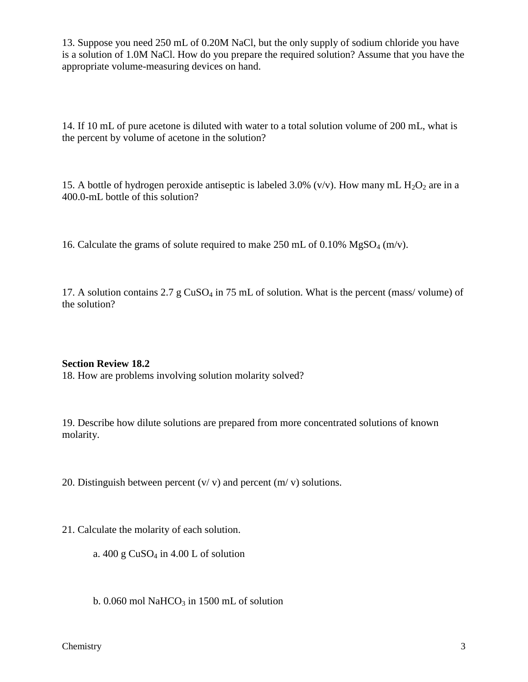13. Suppose you need 250 mL of 0.20M NaCl, but the only supply of sodium chloride you have is a solution of 1.0M NaCl. How do you prepare the required solution? Assume that you have the appropriate volume-measuring devices on hand.

14. If 10 mL of pure acetone is diluted with water to a total solution volume of 200 mL, what is the percent by volume of acetone in the solution?

15. A bottle of hydrogen peroxide antiseptic is labeled 3.0% (v/v). How many mL  $H_2O_2$  are in a 400.0-mL bottle of this solution?

16. Calculate the grams of solute required to make 250 mL of 0.10%  $MgSO_4$  (m/v).

17. A solution contains  $2.7 \text{ g }CuSO_4$  in 75 mL of solution. What is the percent (mass/volume) of the solution?

#### **Section Review 18.2**

18. How are problems involving solution molarity solved?

19. Describe how dilute solutions are prepared from more concentrated solutions of known molarity.

20. Distinguish between percent  $(v/v)$  and percent  $(m/v)$  solutions.

21. Calculate the molarity of each solution.

a.  $400 \text{ g }$  CuSO<sub>4</sub> in  $4.00 \text{ L}$  of solution

b. 0.060 mol NaHCO<sub>3</sub> in 1500 mL of solution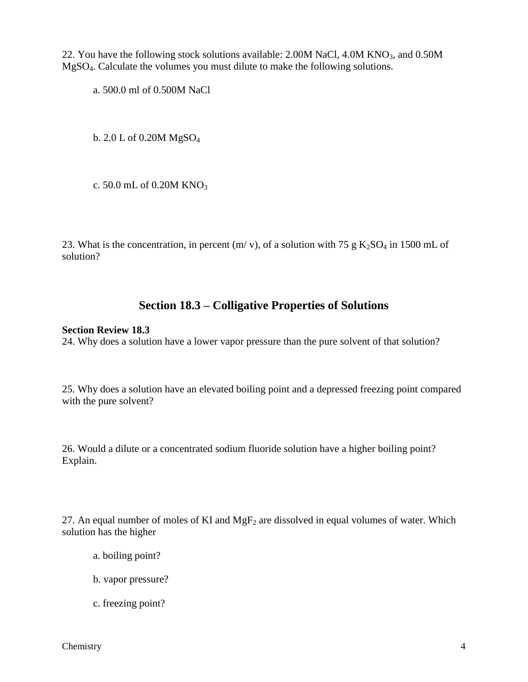22. You have the following stock solutions available:  $2.00M$  NaCl,  $4.0M$  KNO<sub>3</sub>, and  $0.50M$ MgSO4. Calculate the volumes you must dilute to make the following solutions.

a. 500.0 ml of 0.500M NaCl

b. 2.0 L of 0.20M MgSO<sup>4</sup>

c. 50.0 mL of 0.20M KNO<sub>3</sub>

23. What is the concentration, in percent  $(m/v)$ , of a solution with 75 g  $K_2SO_4$  in 1500 mL of solution?

### **Section 18.3 – Colligative Properties of Solutions**

#### **Section Review 18.3**

24. Why does a solution have a lower vapor pressure than the pure solvent of that solution?

25. Why does a solution have an elevated boiling point and a depressed freezing point compared with the pure solvent?

26. Would a dilute or a concentrated sodium fluoride solution have a higher boiling point? Explain.

27. An equal number of moles of KI and  $MgF_2$  are dissolved in equal volumes of water. Which solution has the higher

- a. boiling point?
- b. vapor pressure?
- c. freezing point?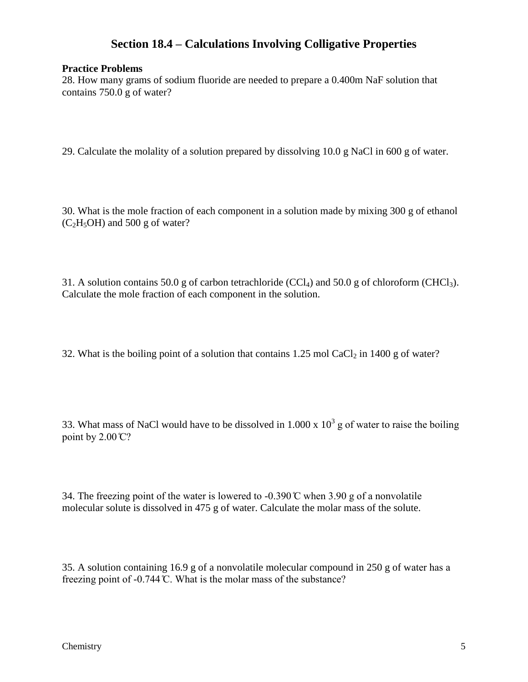### **Section 18.4 – Calculations Involving Colligative Properties**

#### **Practice Problems**

28. How many grams of sodium fluoride are needed to prepare a 0.400m NaF solution that contains 750.0 g of water?

29. Calculate the molality of a solution prepared by dissolving 10.0 g NaCl in 600 g of water.

30. What is the mole fraction of each component in a solution made by mixing 300 g of ethanol  $(C<sub>2</sub>H<sub>5</sub>OH)$  and 500 g of water?

31. A solution contains 50.0 g of carbon tetrachloride (CCl<sub>4</sub>) and 50.0 g of chloroform (CHCl<sub>3</sub>). Calculate the mole fraction of each component in the solution.

32. What is the boiling point of a solution that contains  $1.25 \text{ mol } CaCl<sub>2</sub>$  in  $1400 \text{ g}$  of water?

33. What mass of NaCl would have to be dissolved in 1.000 x  $10^3$  g of water to raise the boiling point by  $2.00 \degree$ C?

34. The freezing point of the water is lowered to -0.390  $\degree$  when 3.90 g of a nonvolatile molecular solute is dissolved in 475 g of water. Calculate the molar mass of the solute.

35. A solution containing 16.9 g of a nonvolatile molecular compound in 250 g of water has a freezing point of -0.744 ̊C. What is the molar mass of the substance?